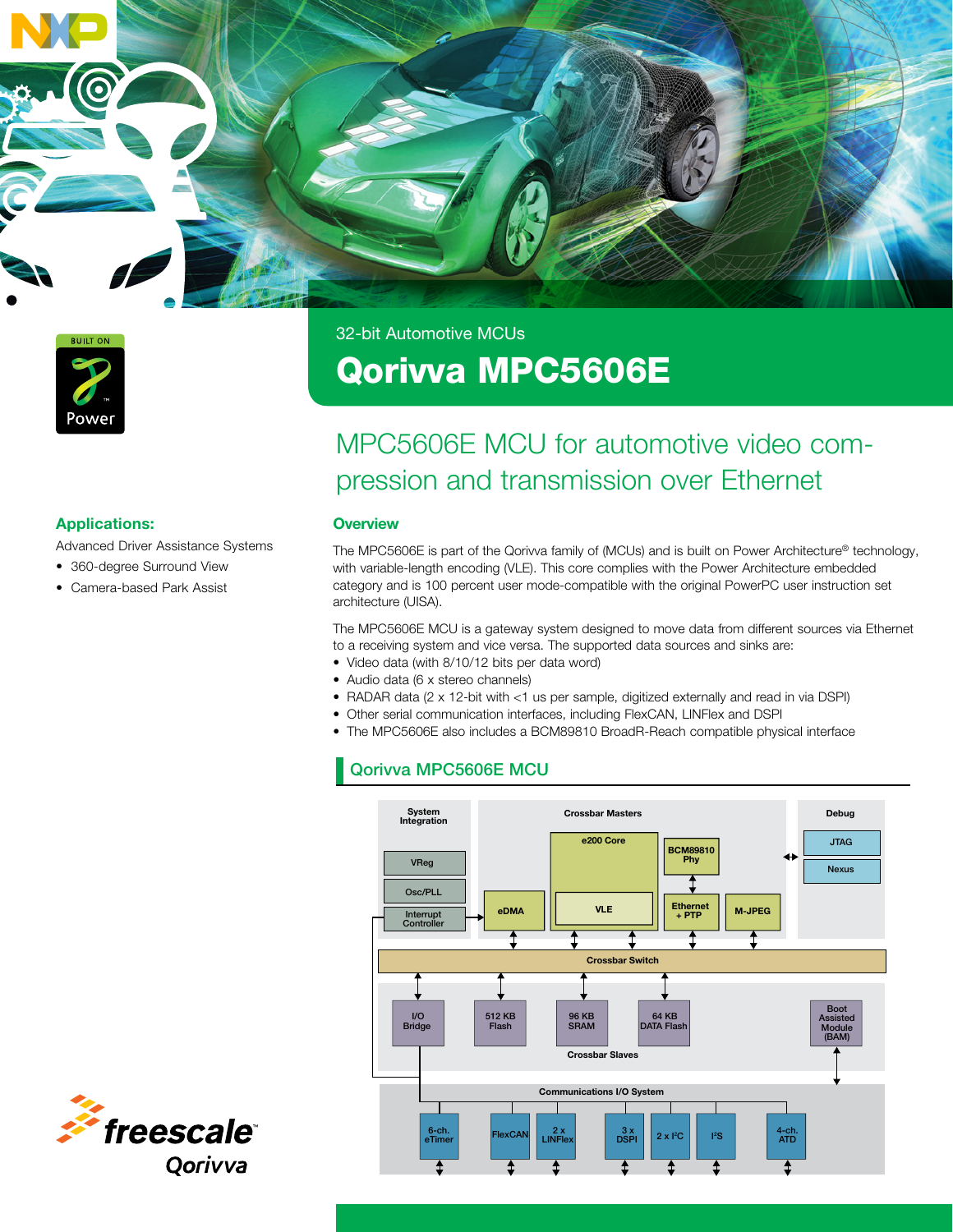

32-bit Automotive MCUs

# Qorivva MPC5606E

## MPC5606E MCU for automotive video compression and transmission over Ethernet

#### **Overview**

The MPC5606E is part of the Qorivva family of (MCUs) and is built on Power Architecture<sup>®</sup> technology, with variable-length encoding (VLE). This core complies with the Power Architecture embedded category and is 100 percent user mode-compatible with the original PowerPC user instruction set architecture (UISA).

The MPC5606E MCU is a gateway system designed to move data from different sources via Ethernet to a receiving system and vice versa. The supported data sources and sinks are:

- Video data (with 8/10/12 bits per data word)
- Audio data (6 x stereo channels)
- RADAR data (2 x 12-bit with <1 us per sample, digitized externally and read in via DSPI)
- Other serial communication interfaces, including FlexCAN, LINFlex and DSPI
- The MPC5606E also includes a BCM89810 BroadR-Reach compatible physical interface

## Qorivva MPC5606E MCU Qorivva MPC5606E MCU





Advanced Driver Assistance Systems

- 360-degree Surround View
- Camera-based Park Assist